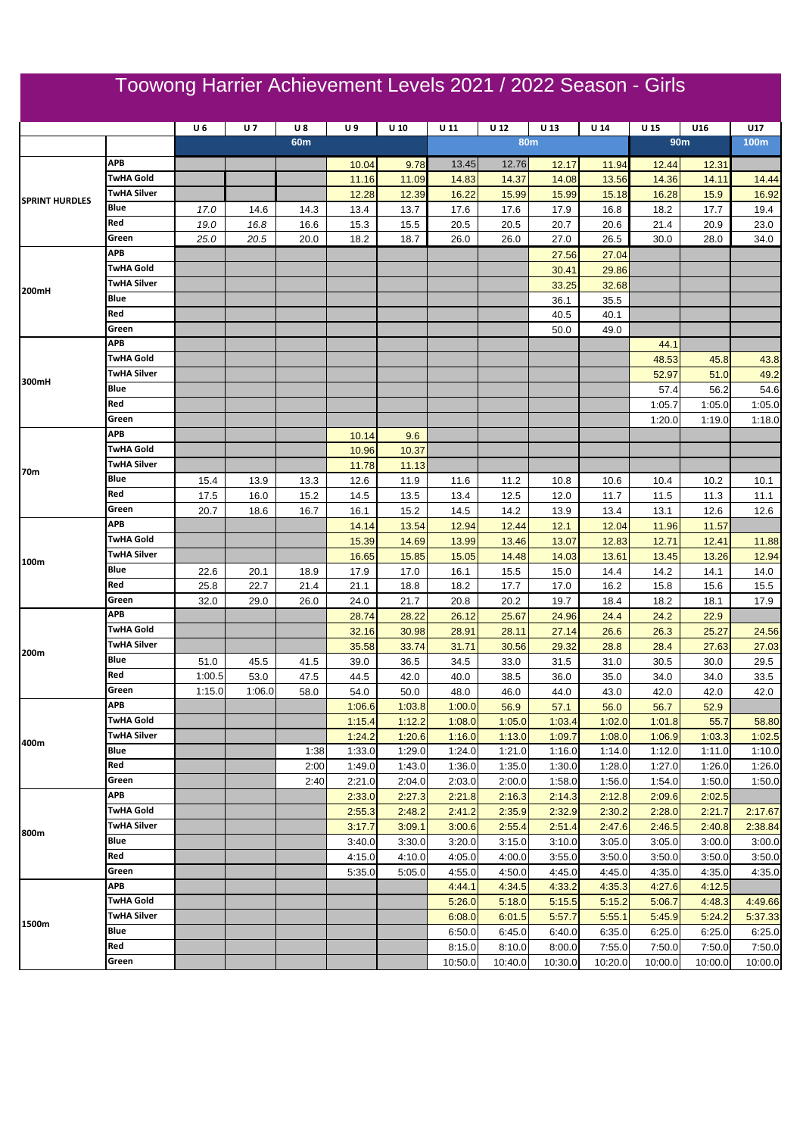## Toowong Harrier Achievement Levels 2021 / 2022 Season - Girls

|                                |                                        | U6     | <b>U7</b> | $U_8$           | U9     | $U$ 10 | U <sub>11</sub> | U <sub>12</sub> | U 13       | U <sub>14</sub> | U 15    | U16             | U17         |
|--------------------------------|----------------------------------------|--------|-----------|-----------------|--------|--------|-----------------|-----------------|------------|-----------------|---------|-----------------|-------------|
|                                |                                        |        |           | 60 <sub>m</sub> |        |        |                 |                 | <b>80m</b> |                 |         | 90 <sub>m</sub> | <b>100m</b> |
|                                |                                        |        |           |                 |        |        |                 |                 |            |                 |         |                 |             |
| <b>SPRINT HURDLES</b><br>200mH | APB                                    |        |           |                 | 10.04  | 9.78   | 13.45           | 12.76           | 12.17      | 11.94           | 12.44   | 12.31           |             |
|                                | <b>TwHA Gold</b>                       |        |           |                 | 11.16  | 11.09  | 14.83           | 14.37           | 14.08      | 13.56           | 14.36   | 14.11           | 14.44       |
|                                | <b>TwHA Silver</b>                     |        |           |                 | 12.28  | 12.39  | 16.22           | 15.99           | 15.99      | 15.18           | 16.28   | 15.9            | 16.92       |
|                                | Blue                                   | 17.0   | 14.6      | 14.3            | 13.4   | 13.7   | 17.6            | 17.6            | 17.9       | 16.8            | 18.2    | 17.7            | 19.4        |
|                                | Red                                    | 19.0   | 16.8      | 16.6            | 15.3   | 15.5   | 20.5            | 20.5            | 20.7       | 20.6            | 21.4    | 20.9            | 23.0        |
|                                | Green                                  | 25.0   | 20.5      | 20.0            | 18.2   | 18.7   | 26.0            | 26.0            | 27.0       | 26.5            | 30.0    | 28.0            | 34.0        |
|                                | APB                                    |        |           |                 |        |        |                 |                 | 27.56      | 27.04           |         |                 |             |
|                                | <b>TwHA Gold</b><br><b>TwHA Silver</b> |        |           |                 |        |        |                 |                 | 30.41      | 29.86           |         |                 |             |
|                                |                                        |        |           |                 |        |        |                 |                 | 33.25      | 32.68           |         |                 |             |
|                                | Blue                                   |        |           |                 |        |        |                 |                 | 36.1       | 35.5            |         |                 |             |
|                                | Red                                    |        |           |                 |        |        |                 |                 | 40.5       | 40.1            |         |                 |             |
|                                | Green                                  |        |           |                 |        |        |                 |                 | 50.0       | 49.0            |         |                 |             |
|                                | APB                                    |        |           |                 |        |        |                 |                 |            |                 | 44.1    |                 |             |
|                                | <b>TwHA Gold</b>                       |        |           |                 |        |        |                 |                 |            |                 | 48.53   | 45.8            | 43.8        |
| 300mH                          | TwHA Silver                            |        |           |                 |        |        |                 |                 |            |                 | 52.97   | 51.0            | 49.2        |
|                                | Blue                                   |        |           |                 |        |        |                 |                 |            |                 | 57.4    | 56.2            | 54.6        |
|                                | Red                                    |        |           |                 |        |        |                 |                 |            |                 | 1:05.7  | 1:05.0          | 1:05.0      |
|                                | Green                                  |        |           |                 |        |        |                 |                 |            |                 | 1:20.0  | 1:19.0          | 1:18.0      |
|                                | APB                                    |        |           |                 | 10.14  | 9.6    |                 |                 |            |                 |         |                 |             |
| 70m                            | <b>TwHA Gold</b>                       |        |           |                 | 10.96  | 10.37  |                 |                 |            |                 |         |                 |             |
|                                | <b>TwHA Silver</b>                     |        |           |                 | 11.78  | 11.13  |                 |                 |            |                 |         |                 |             |
|                                | Blue                                   | 15.4   | 13.9      | 13.3            | 12.6   | 11.9   | 11.6            | 11.2            | 10.8       | 10.6            | 10.4    | 10.2            | 10.1        |
|                                | Red                                    | 17.5   | 16.0      | 15.2            | 14.5   | 13.5   | 13.4            | 12.5            | 12.0       | 11.7            | 11.5    | 11.3            | 11.1        |
|                                | Green                                  | 20.7   | 18.6      | 16.7            | 16.1   | 15.2   | 14.5            | 14.2            | 13.9       | 13.4            | 13.1    | 12.6            | 12.6        |
| 100m                           | APB                                    |        |           |                 | 14.14  | 13.54  | 12.94           | 12.44           | 12.1       | 12.04           | 11.96   | 11.57           |             |
|                                | TwHA Gold                              |        |           |                 | 15.39  | 14.69  | 13.99           | 13.46           | 13.07      | 12.83           | 12.71   | 12.41           | 11.88       |
|                                | <b>TwHA Silver</b>                     |        |           |                 | 16.65  | 15.85  | 15.05           | 14.48           | 14.03      | 13.61           | 13.45   | 13.26           | 12.94       |
|                                | Blue                                   | 22.6   | 20.1      | 18.9            | 17.9   | 17.0   | 16.1            | 15.5            | 15.0       | 14.4            | 14.2    | 14.1            | 14.0        |
|                                | Red                                    | 25.8   | 22.7      | 21.4            | 21.1   | 18.8   | 18.2            | 17.7            | 17.0       | 16.2            | 15.8    | 15.6            | 15.5        |
|                                | Green<br>APB                           | 32.0   | 29.0      | 26.0            | 24.0   | 21.7   | 20.8            | 20.2            | 19.7       | 18.4            | 18.2    | 18.1            | 17.9        |
|                                | <b>TwHA Gold</b>                       |        |           |                 | 28.74  | 28.22  | 26.12           | 25.67           | 24.96      | 24.4            | 24.2    | 22.9            |             |
|                                |                                        |        |           |                 | 32.16  | 30.98  | 28.91           | 28.11           | 27.14      | 26.6            | 26.3    | 25.27           | 24.56       |
| 200m                           | <b>TwHA Silver</b>                     |        |           |                 | 35.58  | 33.74  | 31.71           | 30.56           | 29.32      | 28.8            | 28.4    | 27.63           | 27.03       |
|                                | Blue                                   | 51.0   | 45.5      | 41.5            | 39.0   | 36.5   | 34.5            | 33.0            | 31.5       | 31.0            | 30.5    | 30.0            | 29.5        |
|                                | Red                                    | 1:00.5 | 53.0      | 47.5            | 44.5   | 42.0   | 40.0            | 38.5            | 36.0       | 35.0            | 34.0    | 34.0            | 33.5        |
|                                | Green<br>APB                           | 1:15.0 | 1:06.0    | 58.0            | 54.0   | 50.0   | 48.0            | 46.0            | 44.0       | 43.0            | 42.0    | 42.0            | 42.0        |
| 400m                           | <b>TwHA Gold</b>                       |        |           |                 | 1:06.6 | 1:03.8 | 1:00.0          | 56.9            | 57.1       | 56.0            | 56.7    | 52.9            |             |
|                                | <b>TwHA Silver</b>                     |        |           |                 | 1:15.4 | 1:12.2 | 1:08.0          | 1:05.0          | 1:03.4     | 1:02.0          | 1:01.8  | 55.7            | 58.80       |
|                                | Blue                                   |        |           |                 | 1:24.2 | 1:20.6 | 1:16.0          | 1:13.0          | 1:09.7     | 1:08.0          | 1:06.9  | 1:03.3          | 1:02.5      |
|                                | Red                                    |        |           | 1:38            | 1:33.0 | 1:29.0 | 1:24.0          | 1:21.0          | 1:16.0     | 1:14.0          | 1:12.0  | 1:11.0          | 1:10.0      |
|                                |                                        |        |           | 2:00            | 1:49.0 | 1:43.0 | 1:36.0          | 1:35.0          | 1:30.0     | 1:28.0          | 1:27.0  | 1:26.0          | 1:26.0      |
| 800m                           | Green<br>APB                           |        |           | 2:40            | 2:21.0 | 2:04.0 | 2:03.0          | 2:00.0          | 1:58.0     | 1:56.0          | 1:54.0  | 1:50.0          | 1:50.0      |
|                                | TwHA Gold                              |        |           |                 | 2:33.0 | 2:27.3 | 2:21.8          | 2:16.3          | 2:14.3     | 2:12.8          | 2:09.6  | 2:02.5          |             |
|                                | <b>TwHA Silver</b>                     |        |           |                 | 2:55.3 | 2:48.2 | 2:41.2          | 2:35.9          | 2:32.9     | 2:30.2          | 2:28.0  | 2:21.7          | 2:17.67     |
|                                |                                        |        |           |                 | 3:17.7 | 3:09.1 | 3:00.6          | 2:55.4          | 2:51.4     | 2:47.6          | 2:46.5  | 2:40.8          | 2:38.84     |
|                                | Blue                                   |        |           |                 | 3:40.0 | 3:30.0 | 3:20.0          | 3:15.0          | 3:10.0     | 3:05.0          | 3:05.0  | 3:00.0          | 3:00.0      |
|                                | Red                                    |        |           |                 | 4:15.0 | 4:10.0 | 4:05.0          | 4:00.0          | 3:55.0     | 3:50.0          | 3:50.0  | 3:50.0          | 3:50.0      |
|                                | Green                                  |        |           |                 | 5:35.0 | 5:05.0 | 4:55.0          | 4:50.0          | 4:45.0     | 4:45.0          | 4:35.0  | 4:35.0          | 4:35.0      |
| 1500m                          | APB                                    |        |           |                 |        |        | 4:44.1          | 4:34.5          | 4:33.2     | 4:35.3          | 4:27.6  | 4:12.5          |             |
|                                | <b>TwHA Gold</b>                       |        |           |                 |        |        | 5:26.0          | 5:18.0          | 5:15.5     | 5:15.2          | 5:06.7  | 4:48.3          | 4:49.66     |
|                                | TwHA Silver                            |        |           |                 |        |        | 6:08.0          | 6:01.5          | 5:57.7     | 5:55.1          | 5:45.9  | 5:24.2          | 5:37.33     |
|                                | Blue                                   |        |           |                 |        |        | 6:50.0          | 6:45.0          | 6:40.0     | 6:35.0          | 6:25.0  | 6:25.0          | 6:25.0      |
|                                | Red                                    |        |           |                 |        |        | 8:15.0          | 8:10.0          | 8:00.0     | 7:55.0          | 7:50.0  | 7:50.0          | 7:50.0      |
|                                | Green                                  |        |           |                 |        |        | 10:50.0         | 10:40.0         | 10:30.0    | 10:20.0         | 10:00.0 | 10:00.0         | 10:00.0     |